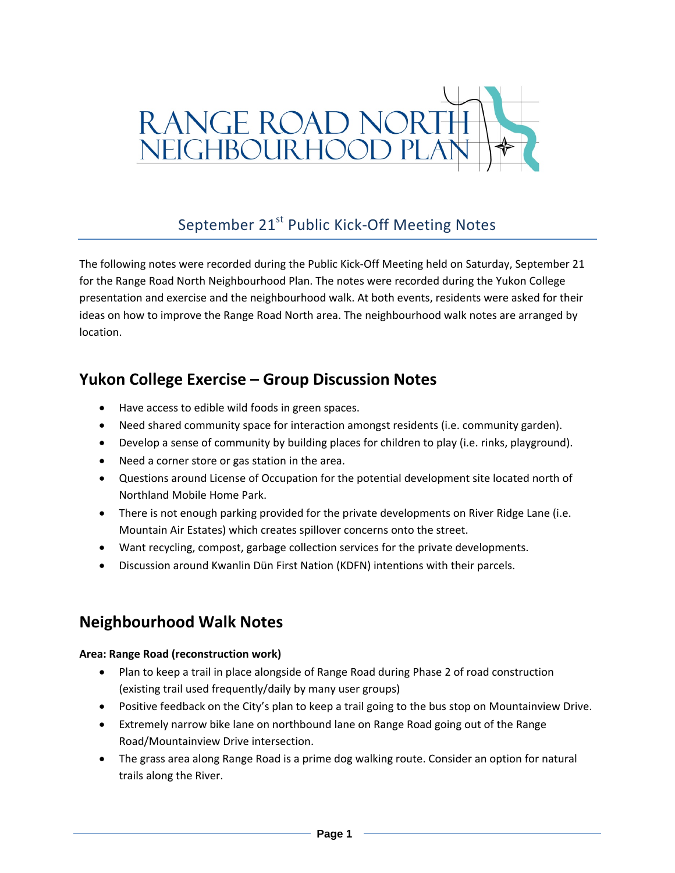

# September 21<sup>st</sup> Public Kick-Off Meeting Notes

The following notes were recorded during the Public Kick‐Off Meeting held on Saturday, September 21 for the Range Road North Neighbourhood Plan. The notes were recorded during the Yukon College presentation and exercise and the neighbourhood walk. At both events, residents were asked for their ideas on how to improve the Range Road North area. The neighbourhood walk notes are arranged by location.

## **Yukon College Exercise – Group Discussion Notes**

- Have access to edible wild foods in green spaces.
- Need shared community space for interaction amongst residents (i.e. community garden).
- Develop a sense of community by building places for children to play (i.e. rinks, playground).
- Need a corner store or gas station in the area.
- Questions around License of Occupation for the potential development site located north of Northland Mobile Home Park.
- There is not enough parking provided for the private developments on River Ridge Lane (i.e. Mountain Air Estates) which creates spillover concerns onto the street.
- Want recycling, compost, garbage collection services for the private developments.
- Discussion around Kwanlin Dün First Nation (KDFN) intentions with their parcels.

## **Neighbourhood Walk Notes**

## **Area: Range Road (reconstruction work)**

- Plan to keep a trail in place alongside of Range Road during Phase 2 of road construction (existing trail used frequently/daily by many user groups)
- Positive feedback on the City's plan to keep a trail going to the bus stop on Mountainview Drive.
- Extremely narrow bike lane on northbound lane on Range Road going out of the Range Road/Mountainview Drive intersection.
- The grass area along Range Road is a prime dog walking route. Consider an option for natural trails along the River.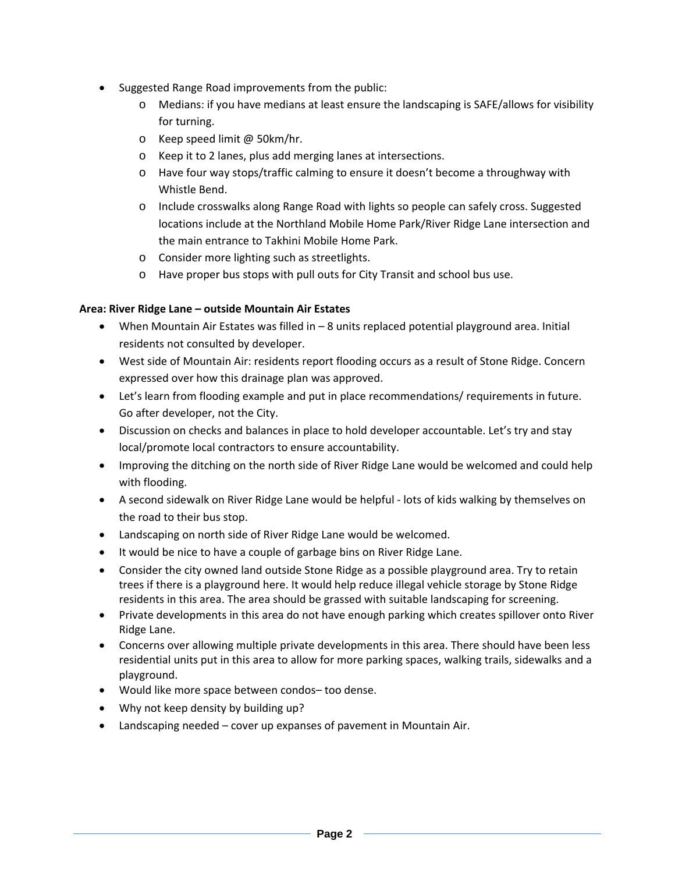- Suggested Range Road improvements from the public:
	- o Medians: if you have medians at least ensure the landscaping is SAFE/allows for visibility for turning.
	- o Keep speed limit @ 50km/hr.
	- o Keep it to 2 lanes, plus add merging lanes at intersections.
	- o Have four way stops/traffic calming to ensure it doesn't become a throughway with Whistle Bend.
	- o Include crosswalks along Range Road with lights so people can safely cross. Suggested locations include at the Northland Mobile Home Park/River Ridge Lane intersection and the main entrance to Takhini Mobile Home Park.
	- o Consider more lighting such as streetlights.
	- o Have proper bus stops with pull outs for City Transit and school bus use.

## **Area: River Ridge Lane – outside Mountain Air Estates**

- When Mountain Air Estates was filled in 8 units replaced potential playground area. Initial residents not consulted by developer.
- West side of Mountain Air: residents report flooding occurs as a result of Stone Ridge. Concern expressed over how this drainage plan was approved.
- Let's learn from flooding example and put in place recommendations/ requirements in future. Go after developer, not the City.
- Discussion on checks and balances in place to hold developer accountable. Let's try and stay local/promote local contractors to ensure accountability.
- Improving the ditching on the north side of River Ridge Lane would be welcomed and could help with flooding.
- A second sidewalk on River Ridge Lane would be helpful ‐ lots of kids walking by themselves on the road to their bus stop.
- Landscaping on north side of River Ridge Lane would be welcomed.
- It would be nice to have a couple of garbage bins on River Ridge Lane.
- Consider the city owned land outside Stone Ridge as a possible playground area. Try to retain trees if there is a playground here. It would help reduce illegal vehicle storage by Stone Ridge residents in this area. The area should be grassed with suitable landscaping for screening.
- Private developments in this area do not have enough parking which creates spillover onto River Ridge Lane.
- Concerns over allowing multiple private developments in this area. There should have been less residential units put in this area to allow for more parking spaces, walking trails, sidewalks and a playground.
- Would like more space between condos– too dense.
- Why not keep density by building up?
- Landscaping needed cover up expanses of pavement in Mountain Air.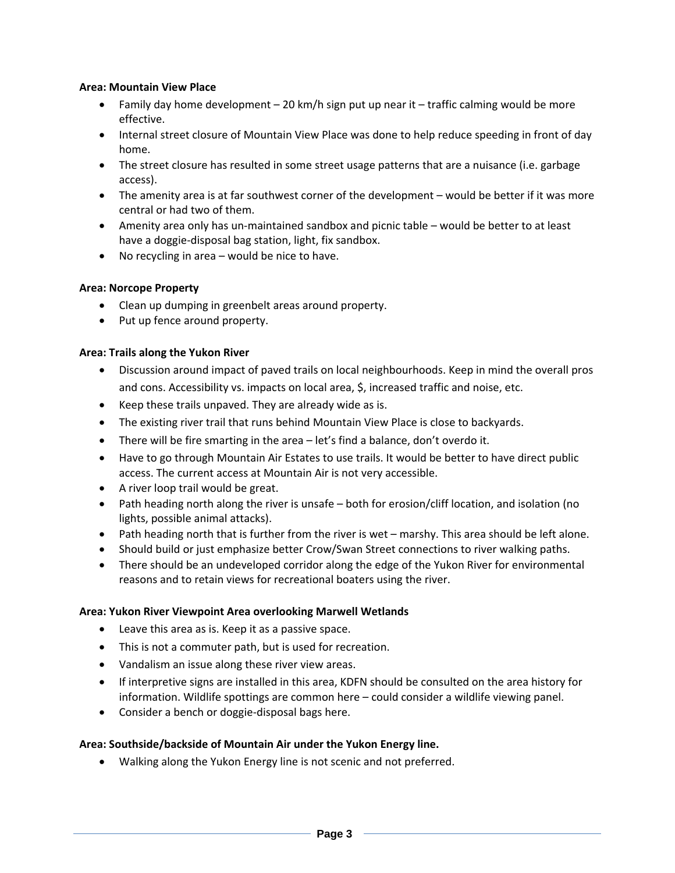#### **Area: Mountain View Place**

- Family day home development  $-$  20 km/h sign put up near it  $-$  traffic calming would be more effective.
- Internal street closure of Mountain View Place was done to help reduce speeding in front of day home.
- The street closure has resulted in some street usage patterns that are a nuisance (i.e. garbage access).
- The amenity area is at far southwest corner of the development would be better if it was more central or had two of them.
- Amenity area only has un-maintained sandbox and picnic table would be better to at least have a doggie‐disposal bag station, light, fix sandbox.
- No recycling in area would be nice to have.

## **Area: Norcope Property**

- Clean up dumping in greenbelt areas around property.
- Put up fence around property.

#### **Area: Trails along the Yukon River**

- Discussion around impact of paved trails on local neighbourhoods. Keep in mind the overall pros and cons. Accessibility vs. impacts on local area, \$, increased traffic and noise, etc.
- Keep these trails unpaved. They are already wide as is.
- The existing river trail that runs behind Mountain View Place is close to backyards.
- There will be fire smarting in the area let's find a balance, don't overdo it.
- Have to go through Mountain Air Estates to use trails. It would be better to have direct public access. The current access at Mountain Air is not very accessible.
- A river loop trail would be great.
- Path heading north along the river is unsafe both for erosion/cliff location, and isolation (no lights, possible animal attacks).
- Path heading north that is further from the river is wet marshy. This area should be left alone.
- Should build or just emphasize better Crow/Swan Street connections to river walking paths.
- There should be an undeveloped corridor along the edge of the Yukon River for environmental reasons and to retain views for recreational boaters using the river.

#### **Area: Yukon River Viewpoint Area overlooking Marwell Wetlands**

- Leave this area as is. Keep it as a passive space.
- This is not a commuter path, but is used for recreation.
- Vandalism an issue along these river view areas.
- If interpretive signs are installed in this area, KDFN should be consulted on the area history for information. Wildlife spottings are common here – could consider a wildlife viewing panel.
- Consider a bench or doggie-disposal bags here.

#### **Area: Southside/backside of Mountain Air under the Yukon Energy line.**

Walking along the Yukon Energy line is not scenic and not preferred.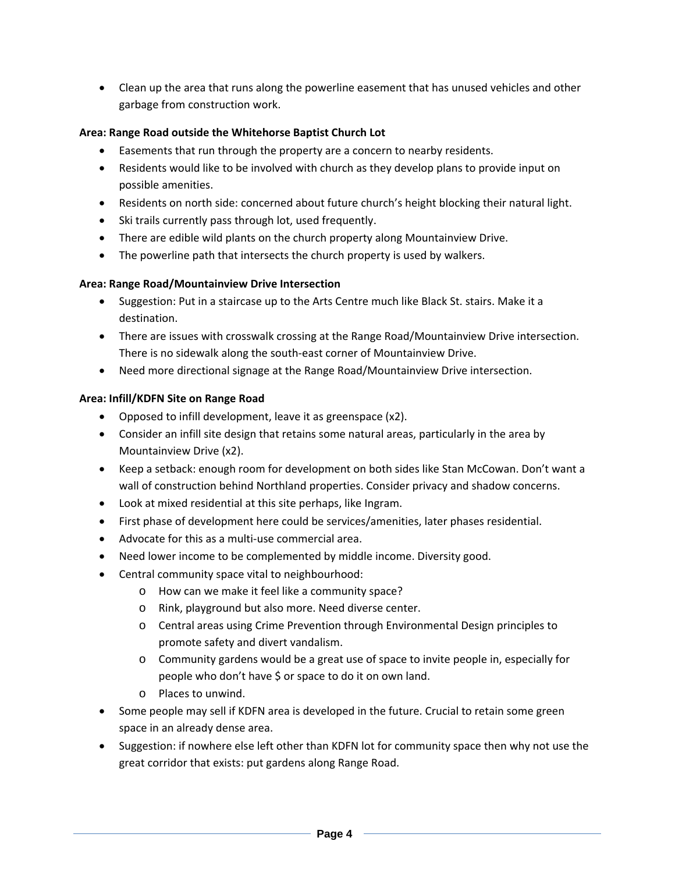Clean up the area that runs along the powerline easement that has unused vehicles and other garbage from construction work.

## **Area: Range Road outside the Whitehorse Baptist Church Lot**

- Easements that run through the property are a concern to nearby residents.
- Residents would like to be involved with church as they develop plans to provide input on possible amenities.
- Residents on north side: concerned about future church's height blocking their natural light.
- Ski trails currently pass through lot, used frequently.
- There are edible wild plants on the church property along Mountainview Drive.
- The powerline path that intersects the church property is used by walkers.

#### **Area: Range Road/Mountainview Drive Intersection**

- Suggestion: Put in a staircase up to the Arts Centre much like Black St. stairs. Make it a destination.
- There are issues with crosswalk crossing at the Range Road/Mountainview Drive intersection. There is no sidewalk along the south‐east corner of Mountainview Drive.
- Need more directional signage at the Range Road/Mountainview Drive intersection.

#### **Area: Infill/KDFN Site on Range Road**

- Opposed to infill development, leave it as greenspace (x2).
- Consider an infill site design that retains some natural areas, particularly in the area by Mountainview Drive (x2).
- Keep a setback: enough room for development on both sides like Stan McCowan. Don't want a wall of construction behind Northland properties. Consider privacy and shadow concerns.
- Look at mixed residential at this site perhaps, like Ingram.
- First phase of development here could be services/amenities, later phases residential.
- Advocate for this as a multi-use commercial area.
- Need lower income to be complemented by middle income. Diversity good.
- Central community space vital to neighbourhood:
	- o How can we make it feel like a community space?
	- o Rink, playground but also more. Need diverse center.
	- o Central areas using Crime Prevention through Environmental Design principles to promote safety and divert vandalism.
	- o Community gardens would be a great use of space to invite people in, especially for people who don't have \$ or space to do it on own land.
	- o Places to unwind.
- Some people may sell if KDFN area is developed in the future. Crucial to retain some green space in an already dense area.
- Suggestion: if nowhere else left other than KDFN lot for community space then why not use the great corridor that exists: put gardens along Range Road.